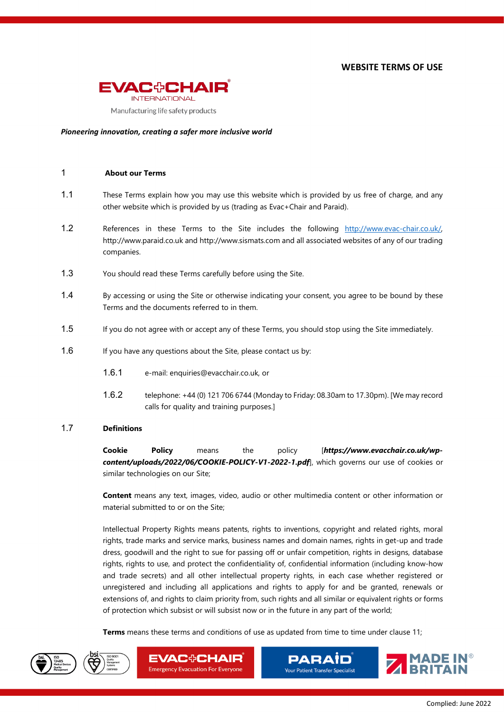**WEBSITE TERMS OF USE**



#### *Pioneering innovation, creating a safer more inclusive world*

### 1 **About our Terms**

- <span id="page-0-0"></span>1.1 These Terms explain how you may use this website which is provided by us free of charge, and any other website which is provided by us (trading as Evac+Chair and Paraid).
- 1.2 References in these Terms to the Site includes the following http://www.evac-chair.co.uk/, http://www.paraid.co.uk and http://www.sismats.com and all associated websites of any of our trading companies.
- 1.3 You should read these Terms carefully before using the Site.
- 1.4 By accessing or using the Site or otherwise indicating your consent, you agree to be bound by these Terms and the documents referred to in them.
- 1.5 If you do not agree with or accept any of these Terms, you should stop using the Site immediately.
- 1.6 If you have any questions about the Site, please contact us by:
	- 1.6.1 e-mail: enquiries@evacchair.co.uk, or
	- 1.6.2 telephone: +44 (0) 121 706 6744 (Monday to Friday: 08.30am to 17.30pm). [We may record calls for quality and training purposes.]

#### 1.7 **Definitions**

**Cookie Policy** means the policy [*https://www.evacchair.co.uk/wpcontent/uploads/2022/06/COOKIE-POLICY-V1-2022-1.pdf*], which governs our use of cookies or similar technologies on our Site;

**Content** means any text, images, video, audio or other multimedia content or other information or material submitted to or on the Site;

Intellectual Property Rights means patents, rights to inventions, copyright and related rights, moral rights, trade marks and service marks, business names and domain names, rights in get-up and trade dress, goodwill and the right to sue for passing off or unfair competition, rights in designs, database rights, rights to use, and protect the confidentiality of, confidential information (including know-how and trade secrets) and all other intellectual property rights, in each case whether registered or unregistered and including all applications and rights to apply for and be granted, renewals or extensions of, and rights to claim priority from, such rights and all similar or equivalent rights or forms of protection which subsist or will subsist now or in the future in any part of the world;

**Terms** means these terms and conditions of use as updated from time to time under clause [11;](#page-3-0)





**EVAC+CHAIR Emergency Evacuation For Everyone** 

**PARAID** Your Patient Transfer Specialist

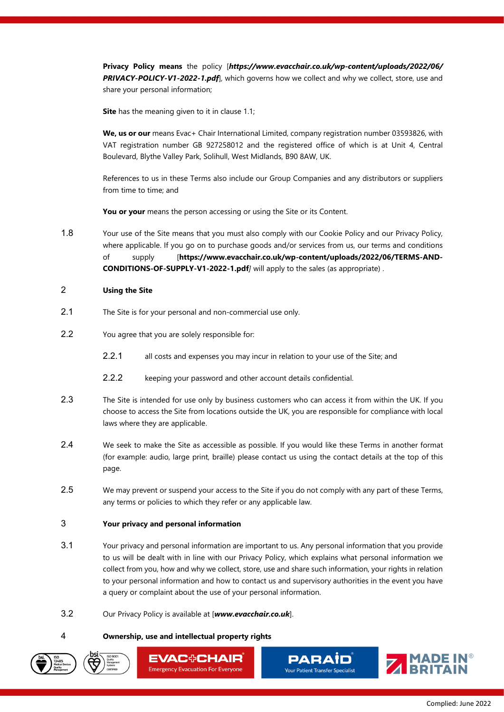**Privacy Policy means** the policy [*https://www.evacchair.co.uk/wp-content/uploads/2022/06/ PRIVACY-POLICY-V1-2022-1.pdf*], which governs how we collect and why we collect, store, use and share your personal information;

**Site** has the meaning given to it in clause [1.1;](#page-0-0)

**We, us or our** means Evac+ Chair International Limited, company registration number 03593826, with VAT registration number GB 927258012 and the registered office of which is at Unit 4, Central Boulevard, Blythe Valley Park, Solihull, West Midlands, B90 8AW, UK.

References to us in these Terms also include our Group Companies and any distributors or suppliers from time to time; and

**You or your** means the person accessing or using the Site or its Content.

1.8 Your use of the Site means that you must also comply with our Cookie Policy and our Privacy Policy, where applicable. If you go on to purchase goods and/or services from us, our terms and conditions of supply [**https://www.evacchair.co.uk/wp-content/uploads/2022/06/TERMS-AND-CONDITIONS-OF-SUPPLY-V1-2022-1.pdf***]* will apply to the sales (as appropriate) .

### 2 **Using the Site**

- 2.1 The Site is for your personal and non-commercial use only.
- 2.2 You agree that you are solely responsible for:
	- 2.2.1 all costs and expenses you may incur in relation to your use of the Site; and
	- 2.2.2 keeping your password and other account details confidential.
- 2.3 The Site is intended for use only by business customers who can access it from within the UK. If you choose to access the Site from locations outside the UK, you are responsible for compliance with local laws where they are applicable.
- 2.4 We seek to make the Site as accessible as possible. If you would like these Terms in another format (for example: audio, large print, braille) please contact us using the contact details at the top of this page.
- 2.5 We may prevent or suspend your access to the Site if you do not comply with any part of these Terms, any terms or policies to which they refer or any applicable law.

## 3 **Your privacy and personal information**

- 3.1 Your privacy and personal information are important to us. Any personal information that you provide to us will be dealt with in line with our Privacy Policy, which explains what personal information we collect from you, how and why we collect, store, use and share such information, your rights in relation to your personal information and how to contact us and supervisory authorities in the event you have a query or complaint about the use of your personal information.
- 3.2 Our Privacy Policy is available at [*www.evacchair.co.uk*].

### 4 **Ownership, use and intellectual property rights**







**PARAİD** Your Patient Transfer Specialist

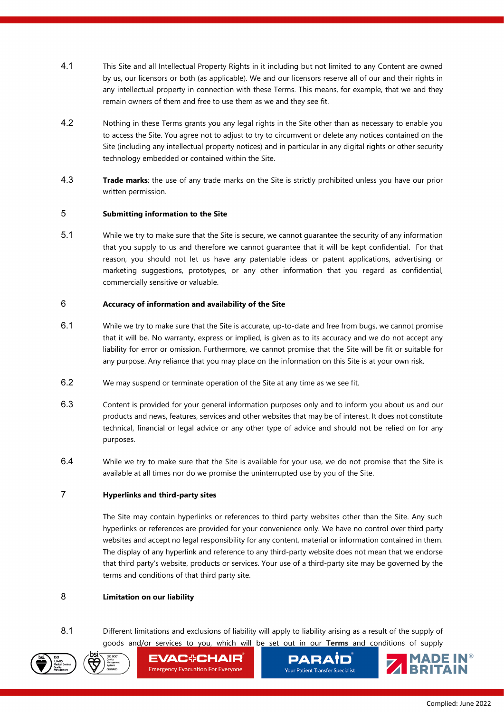- 4.1 This Site and all Intellectual Property Rights in it including but not limited to any Content are owned by us, our licensors or both (as applicable). We and our licensors reserve all of our and their rights in any intellectual property in connection with these Terms. This means, for example, that we and they remain owners of them and free to use them as we and they see fit.
- 4.2 Nothing in these Terms grants you any legal rights in the Site other than as necessary to enable you to access the Site. You agree not to adjust to try to circumvent or delete any notices contained on the Site (including any intellectual property notices) and in particular in any digital rights or other security technology embedded or contained within the Site.
- 4.3 **Trade marks**: the use of any trade marks on the Site is strictly prohibited unless you have our prior written permission.

# 5 **Submitting information to the Site**

5.1 While we try to make sure that the Site is secure, we cannot guarantee the security of any information that you supply to us and therefore we cannot guarantee that it will be kept confidential. For that reason, you should not let us have any patentable ideas or patent applications, advertising or marketing suggestions, prototypes, or any other information that you regard as confidential, commercially sensitive or valuable.

# 6 **Accuracy of information and availability of the Site**

- 6.1 While we try to make sure that the Site is accurate, up-to-date and free from bugs, we cannot promise that it will be. No warranty, express or implied, is given as to its accuracy and we do not accept any liability for error or omission. Furthermore, we cannot promise that the Site will be fit or suitable for any purpose. Any reliance that you may place on the information on this Site is at your own risk.
- 6.2 We may suspend or terminate operation of the Site at any time as we see fit.
- 6.3 Content is provided for your general information purposes only and to inform you about us and our products and news, features, services and other websites that may be of interest. It does not constitute technical, financial or legal advice or any other type of advice and should not be relied on for any purposes.
- 6.4 While we try to make sure that the Site is available for your use, we do not promise that the Site is available at all times nor do we promise the uninterrupted use by you of the Site.

# 7 **Hyperlinks and third-party sites**

The Site may contain hyperlinks or references to third party websites other than the Site. Any such hyperlinks or references are provided for your convenience only. We have no control over third party websites and accept no legal responsibility for any content, material or information contained in them. The display of any hyperlink and reference to any third-party website does not mean that we endorse that third party's website, products or services. Your use of a third-party site may be governed by the terms and conditions of that third party site.

# 8 **Limitation on our liability**

8.1 Different limitations and exclusions of liability will apply to liability arising as a result of the supply of goods and/or services to you, which will be set out in our **Terms** and conditions of supply





**EVAC+CHAIR Emergency Evacuation For Everyone** 

**PARAID** Your Patient Transfer Specialist